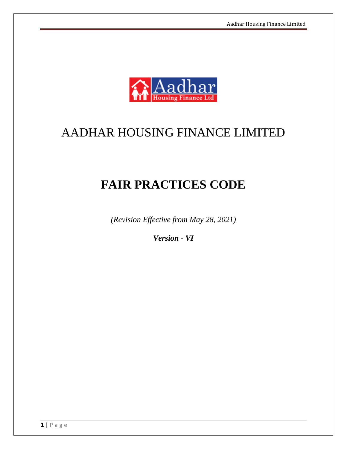

# AADHAR HOUSING FINANCE LIMITED

# **FAIR PRACTICES CODE**

*(Revision Effective from May 28, 2021)*

*Version - VI*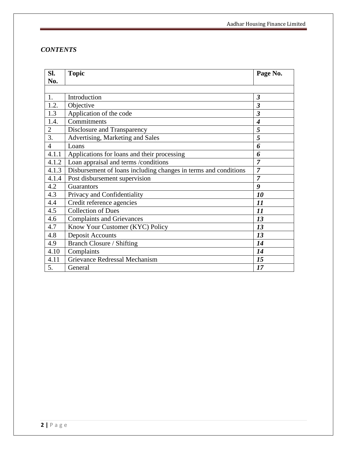# *CONTENTS*

| SI.            | <b>Topic</b>                                                    | Page No.                    |
|----------------|-----------------------------------------------------------------|-----------------------------|
| No.            |                                                                 |                             |
|                |                                                                 |                             |
| 1.             | Introduction                                                    | $\overline{\mathbf{3}}$     |
| 1.2.           | Objective                                                       | $\boldsymbol{\beta}$        |
| 1.3            | Application of the code                                         | $\boldsymbol{\beta}$        |
| 1.4.           | Commitments                                                     | $\overline{\boldsymbol{4}}$ |
| $\overline{2}$ | Disclosure and Transparency                                     | 5                           |
| 3.             | Advertising, Marketing and Sales                                | 5                           |
| $\overline{4}$ | Loans                                                           | 6                           |
| 4.1.1          | Applications for loans and their processing                     | 6                           |
| 4.1.2          | Loan appraisal and terms /conditions                            | 7                           |
| 4.1.3          | Disbursement of loans including changes in terms and conditions | $\overline{7}$              |
| 4.1.4          | Post disbursement supervision                                   | $\overline{7}$              |
| 4.2            | Guarantors                                                      | 9                           |
| 4.3            | Privacy and Confidentiality                                     | 10                          |
| 4.4            | Credit reference agencies                                       | 11                          |
| 4.5            | Collection of Dues                                              | 11                          |
| 4.6            | <b>Complaints and Grievances</b>                                | 13                          |
| 4.7            | Know Your Customer (KYC) Policy                                 | 13                          |
| 4.8            | <b>Deposit Accounts</b>                                         | 13                          |
| 4.9            | Branch Closure / Shifting                                       | 14                          |
| 4.10           | Complaints                                                      | 14                          |
| 4.11           | Grievance Redressal Mechanism                                   | 15                          |
| 5.             | General                                                         | 17                          |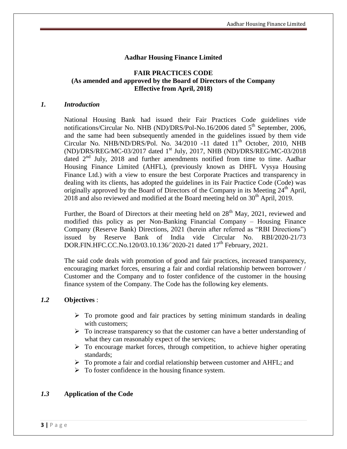# **Aadhar Housing Finance Limited**

# **FAIR PRACTICES CODE (As amended and approved by the Board of Directors of the Company Effective from April, 2018)**

#### *1. Introduction*

National Housing Bank had issued their Fair Practices Code guidelines vide notifications/Circular No. NHB (ND)/DRS/Pol-No.16/2006 dated  $5<sup>th</sup>$  September, 2006, and the same had been subsequently amended in the guidelines issued by them vide Circular No. NHB/ND/DRS/Pol. No.  $34/2010$  -11 dated  $11<sup>th</sup>$  October, 2010, NHB (ND)/DRS/REG/MC-03/2017 dated 1st July, 2017, NHB (ND)/DRS/REG/MC-03/2018 dated 2<sup>nd</sup> July, 2018 and further amendments notified from time to time. Aadhar Housing Finance Limited (AHFL), (previously known as DHFL Vysya Housing Finance Ltd.) with a view to ensure the best Corporate Practices and transparency in dealing with its clients, has adopted the guidelines in its Fair Practice Code (Code) was originally approved by the Board of Directors of the Company in its Meeting  $24<sup>th</sup>$  April,  $2018$  and also reviewed and modified at the Board meeting held on  $30<sup>th</sup>$  April, 2019.

Further, the Board of Directors at their meeting held on  $28<sup>th</sup>$  May, 2021, reviewed and modified this policy as per Non-Banking Financial Company – Housing Finance Company (Reserve Bank) Directions, 2021 (herein after referred as "RBI Directions") issued by Reserve Bank of India vide Circular No. RBI/2020-21/73 DOR.FIN.HFC.CC.No.120/03.10.136/`2020-21 dated 17<sup>th</sup> February, 2021.

The said code deals with promotion of good and fair practices, increased transparency, encouraging market forces, ensuring a fair and cordial relationship between borrower / Customer and the Company and to foster confidence of the customer in the housing finance system of the Company. The Code has the following key elements.

### *1.2* **Objectives** :

- $\triangleright$  To promote good and fair practices by setting minimum standards in dealing with customers:
- $\triangleright$  To increase transparency so that the customer can have a better understanding of what they can reasonably expect of the services;
- $\triangleright$  To encourage market forces, through competition, to achieve higher operating standards;
- $\triangleright$  To promote a fair and cordial relationship between customer and AHFL; and
- $\triangleright$  To foster confidence in the housing finance system.

# *1.3* **Application of the Code**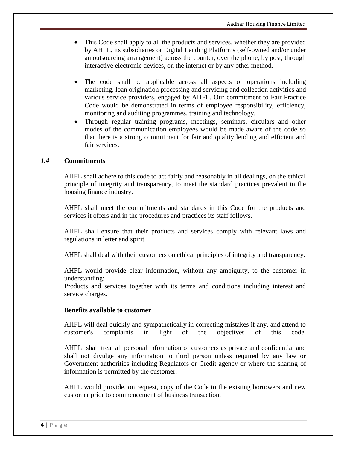- This Code shall apply to all the products and services, whether they are provided by AHFL, its subsidiaries or Digital Lending Platforms (self-owned and/or under an outsourcing arrangement) across the counter, over the phone, by post, through interactive electronic devices, on the internet or by any other method.
- The code shall be applicable across all aspects of operations including marketing, loan origination processing and servicing and collection activities and various service providers, engaged by AHFL. Our commitment to Fair Practice Code would be demonstrated in terms of employee responsibility, efficiency, monitoring and auditing programmes, training and technology.
- Through regular training programs, meetings, seminars, circulars and other modes of the communication employees would be made aware of the code so that there is a strong commitment for fair and quality lending and efficient and fair services.

# *1.4* **Commitments**

AHFL shall adhere to this code to act fairly and reasonably in all dealings, on the ethical principle of integrity and transparency, to meet the standard practices prevalent in the housing finance industry.

AHFL shall meet the commitments and standards in this Code for the products and services it offers and in the procedures and practices its staff follows.

AHFL shall ensure that their products and services comply with relevant laws and regulations in letter and spirit.

AHFL shall deal with their customers on ethical principles of integrity and transparency.

AHFL would provide clear information, without any ambiguity, to the customer in understanding:

Products and services together with its terms and conditions including interest and service charges.

### **Benefits available to customer**

AHFL will deal quickly and sympathetically in correcting mistakes if any, and attend to customer's complaints in light of the objectives of this code.

AHFL shall treat all personal information of customers as private and confidential and shall not divulge any information to third person unless required by any law or Government authorities including Regulators or Credit agency or where the sharing of information is permitted by the customer.

AHFL would provide, on request, copy of the Code to the existing borrowers and new customer prior to commencement of business transaction.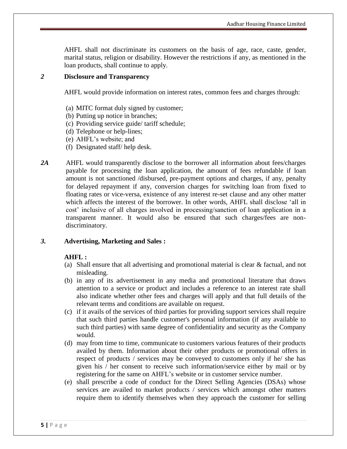AHFL shall not discriminate its customers on the basis of age, race, caste, gender, marital status, religion or disability. However the restrictions if any, as mentioned in the loan products, shall continue to apply.

#### *2* **Disclosure and Transparency**

AHFL would provide information on interest rates, common fees and charges through:

- (a) MITC format duly signed by customer;
- (b) Putting up notice in branches;
- (c) Providing service guide/ tariff schedule;
- (d) Telephone or help-lines;
- (e) AHFL's website; and
- (f) Designated staff/ help desk.
- *2A* AHFL would transparently disclose to the borrower all information about fees/charges payable for processing the loan application, the amount of fees refundable if loan amount is not sanctioned /disbursed, pre-payment options and charges, if any, penalty for delayed repayment if any, conversion charges for switching loan from fixed to floating rates or vice-versa, existence of any interest re-set clause and any other matter which affects the interest of the borrower. In other words, AHFL shall disclose 'all in cost' inclusive of all charges involved in processing/sanction of loan application in a transparent manner. It would also be ensured that such charges/fees are nondiscriminatory.

### *3.* **Advertising, Marketing and Sales :**

### **AHFL :**

- (a) Shall ensure that all advertising and promotional material is clear & factual, and not misleading.
- (b) in any of its advertisement in any media and promotional literature that draws attention to a service or product and includes a reference to an interest rate shall also indicate whether other fees and charges will apply and that full details of the relevant terms and conditions are available on request.
- (c) if it avails of the services of third parties for providing support services shall require that such third parties handle customer's personal information (if any available to such third parties) with same degree of confidentiality and security as the Company would.
- (d) may from time to time, communicate to customers various features of their products availed by them. Information about their other products or promotional offers in respect of products / services may be conveyed to customers only if he/ she has given his / her consent to receive such information/service either by mail or by registering for the same on AHFL's website or in customer service number.
- (e) shall prescribe a code of conduct for the Direct Selling Agencies (DSAs) whose services are availed to market products / services which amongst other matters require them to identify themselves when they approach the customer for selling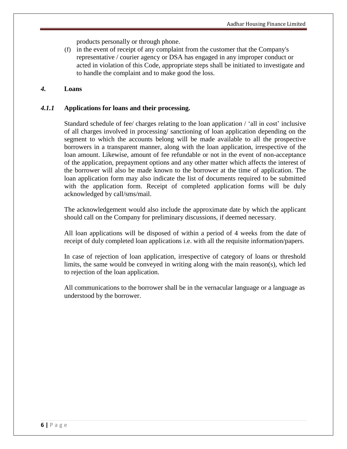products personally or through phone.

(f) in the event of receipt of any complaint from the customer that the Company's representative / courier agency or DSA has engaged in any improper conduct or acted in violation of this Code, appropriate steps shall be initiated to investigate and to handle the complaint and to make good the loss.

#### *4.* **Loans**

#### *4.1.1* **Applications for loans and their processing.**

Standard schedule of fee/ charges relating to the loan application / 'all in cost' inclusive of all charges involved in processing/ sanctioning of loan application depending on the segment to which the accounts belong will be made available to all the prospective borrowers in a transparent manner, along with the loan application, irrespective of the loan amount. Likewise, amount of fee refundable or not in the event of non-acceptance of the application, prepayment options and any other matter which affects the interest of the borrower will also be made known to the borrower at the time of application. The loan application form may also indicate the list of documents required to be submitted with the application form. Receipt of completed application forms will be duly acknowledged by call/sms/mail.

The acknowledgement would also include the approximate date by which the applicant should call on the Company for preliminary discussions, if deemed necessary.

All loan applications will be disposed of within a period of 4 weeks from the date of receipt of duly completed loan applications i.e. with all the requisite information/papers.

In case of rejection of loan application, irrespective of category of loans or threshold limits, the same would be conveyed in writing along with the main reason(s), which led to rejection of the loan application.

All communications to the borrower shall be in the vernacular language or a language as understood by the borrower.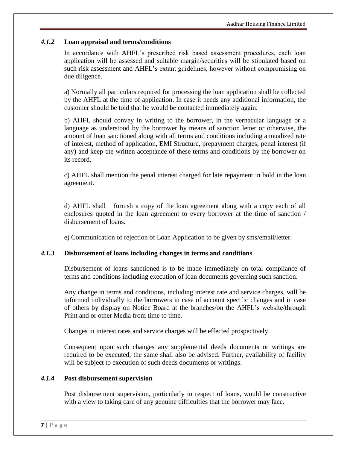# *4.1.2* **Loan appraisal and terms/conditions**

In accordance with AHFL's prescribed risk based assessment procedures, each loan application will be assessed and suitable margin/securities will be stipulated based on such risk assessment and AHFL's extant guidelines, however without compromising on due diligence.

a) Normally all particulars required for processing the loan application shall be collected by the AHFL at the time of application. In case it needs any additional information, the customer should be told that he would be contacted immediately again.

b) AHFL should convey in writing to the borrower, in the vernacular language or a language as understood by the borrower by means of sanction letter or otherwise, the amount of loan sanctioned along with all terms and conditions including annualized rate of interest, method of application, EMI Structure, prepayment charges, penal interest (if any) and keep the written acceptance of these terms and conditions by the borrower on its record.

c) AHFL shall mention the penal interest charged for late repayment in bold in the loan agreement.

d) AHFL shall furnish a copy of the loan agreement along with a copy each of all enclosures quoted in the loan agreement to every borrower at the time of sanction / disbursement of loans.

e) Communication of rejection of Loan Application to be given by sms/email/letter.

### *4.1.3* **Disbursement of loans including changes in terms and conditions**

Disbursement of loans sanctioned is to be made immediately on total compliance of terms and conditions including execution of loan documents governing such sanction.

Any change in terms and conditions, including interest rate and service charges, will be informed individually to the borrowers in case of account specific changes and in case of others by display on Notice Board at the branches/on the AHFL's website/through Print and or other Media from time to time.

Changes in interest rates and service charges will be effected prospectively.

Consequent upon such changes any supplemental deeds documents or writings are required to be executed, the same shall also be advised. Further, availability of facility will be subject to execution of such deeds documents or writings.

### *4.1.4* **Post disbursement supervision**

Post disbursement supervision, particularly in respect of loans, would be constructive with a view to taking care of any genuine difficulties that the borrower may face.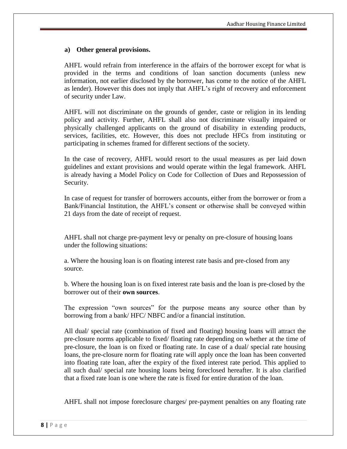### **a) Other general provisions.**

AHFL would refrain from interference in the affairs of the borrower except for what is provided in the terms and conditions of loan sanction documents (unless new information, not earlier disclosed by the borrower, has come to the notice of the AHFL as lender). However this does not imply that AHFL's right of recovery and enforcement of security under Law.

AHFL will not discriminate on the grounds of gender, caste or religion in its lending policy and activity. Further, AHFL shall also not discriminate visually impaired or physically challenged applicants on the ground of disability in extending products, services, facilities, etc. However, this does not preclude HFCs from instituting or participating in schemes framed for different sections of the society.

In the case of recovery, AHFL would resort to the usual measures as per laid down guidelines and extant provisions and would operate within the legal framework. AHFL is already having a Model Policy on Code for Collection of Dues and Repossession of Security.

In case of request for transfer of borrowers accounts, either from the borrower or from a Bank/Financial Institution, the AHFL's consent or otherwise shall be conveyed within 21 days from the date of receipt of request.

AHFL shall not charge pre-payment levy or penalty on pre-closure of housing loans under the following situations:

a. Where the housing loan is on floating interest rate basis and pre-closed from any source.

b. Where the housing loan is on fixed interest rate basis and the loan is pre-closed by the borrower out of their **own sources**.

The expression "own sources" for the purpose means any source other than by borrowing from a bank/ HFC/ NBFC and/or a financial institution.

All dual/ special rate (combination of fixed and floating) housing loans will attract the pre-closure norms applicable to fixed/ floating rate depending on whether at the time of pre-closure, the loan is on fixed or floating rate. In case of a dual/ special rate housing loans, the pre-closure norm for floating rate will apply once the loan has been converted into floating rate loan, after the expiry of the fixed interest rate period. This applied to all such dual/ special rate housing loans being foreclosed hereafter. It is also clarified that a fixed rate loan is one where the rate is fixed for entire duration of the loan.

AHFL shall not impose foreclosure charges/ pre-payment penalties on any floating rate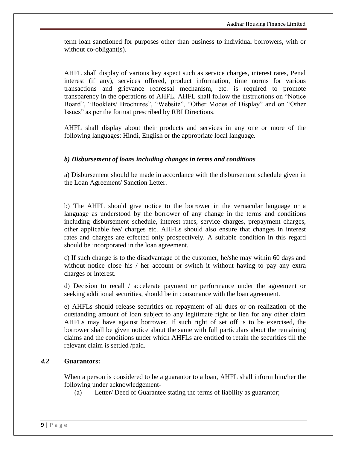term loan sanctioned for purposes other than business to individual borrowers, with or without co-obligant(s).

AHFL shall display of various key aspect such as service charges, interest rates, Penal interest (if any), services offered, product information, time norms for various transactions and grievance redressal mechanism, etc. is required to promote transparency in the operations of AHFL. AHFL shall follow the instructions on "Notice Board", "Booklets/ Brochures", "Website", "Other Modes of Display" and on "Other Issues" as per the format prescribed by RBI Directions.

AHFL shall display about their products and services in any one or more of the following languages: Hindi, English or the appropriate local language.

# *b) Disbursement of loans including changes in terms and conditions*

a) Disbursement should be made in accordance with the disbursement schedule given in the Loan Agreement/ Sanction Letter.

b) The AHFL should give notice to the borrower in the vernacular language or a language as understood by the borrower of any change in the terms and conditions including disbursement schedule, interest rates, service charges, prepayment charges, other applicable fee/ charges etc. AHFLs should also ensure that changes in interest rates and charges are effected only prospectively. A suitable condition in this regard should be incorporated in the loan agreement.

c) If such change is to the disadvantage of the customer, he/she may within 60 days and without notice close his / her account or switch it without having to pay any extra charges or interest.

d) Decision to recall / accelerate payment or performance under the agreement or seeking additional securities, should be in consonance with the loan agreement.

e) AHFLs should release securities on repayment of all dues or on realization of the outstanding amount of loan subject to any legitimate right or lien for any other claim AHFLs may have against borrower. If such right of set off is to be exercised, the borrower shall be given notice about the same with full particulars about the remaining claims and the conditions under which AHFLs are entitled to retain the securities till the relevant claim is settled /paid.

### *4.2* **Guarantors:**

When a person is considered to be a guarantor to a loan, AHFL shall inform him/her the following under acknowledgement-

(a) Letter/ Deed of Guarantee stating the terms of liability as guarantor;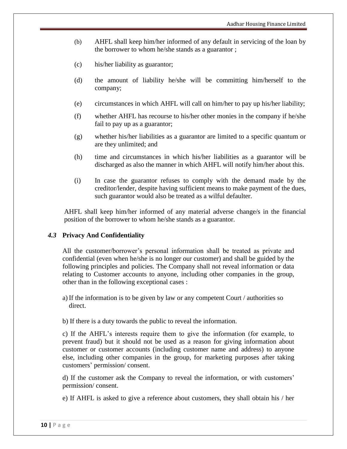- (b) AHFL shall keep him/her informed of any default in servicing of the loan by the borrower to whom he/she stands as a guarantor ;
- (c) his/her liability as guarantor;
- (d) the amount of liability he/she will be committing him/herself to the company;
- (e) circumstances in which AHFL will call on him/her to pay up his/her liability;
- (f) whether AHFL has recourse to his/her other monies in the company if he/she fail to pay up as a guarantor;
- (g) whether his/her liabilities as a guarantor are limited to a specific quantum or are they unlimited; and
- (h) time and circumstances in which his/her liabilities as a guarantor will be discharged as also the manner in which AHFL will notify him/her about this.
- (i) In case the guarantor refuses to comply with the demand made by the creditor/lender, despite having sufficient means to make payment of the dues, such guarantor would also be treated as a wilful defaulter.

AHFL shall keep him/her informed of any material adverse change/s in the financial position of the borrower to whom he/she stands as a guarantor.

### *4.3* **Privacy And Confidentiality**

All the customer/borrower's personal information shall be treated as private and confidential (even when he/she is no longer our customer) and shall be guided by the following principles and policies. The Company shall not reveal information or data relating to Customer accounts to anyone, including other companies in the group, other than in the following exceptional cases :

- a) If the information is to be given by law or any competent Court / authorities so direct.
- b) If there is a duty towards the public to reveal the information.

c) If the AHFL's interests require them to give the information (for example, to prevent fraud) but it should not be used as a reason for giving information about customer or customer accounts (including customer name and address) to anyone else, including other companies in the group, for marketing purposes after taking customers' permission/ consent.

d) If the customer ask the Company to reveal the information, or with customers' permission/ consent.

e) If AHFL is asked to give a reference about customers, they shall obtain his / her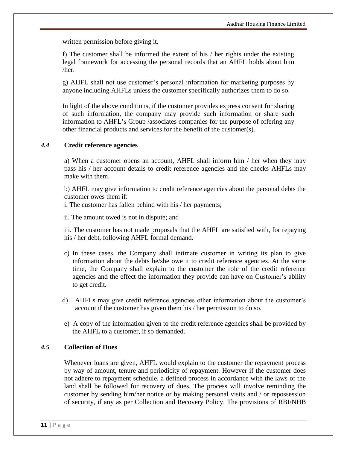written permission before giving it.

f) The customer shall be informed the extent of his / her rights under the existing legal framework for accessing the personal records that an AHFL holds about him /her.

g) AHFL shall not use customer's personal information for marketing purposes by anyone including AHFLs unless the customer specifically authorizes them to do so.

In light of the above conditions, if the customer provides express consent for sharing of such information, the company may provide such information or share such information to AHFL's Group /associates companies for the purpose of offering any other financial products and services for the benefit of the customer(s).

### *4.4* **Credit reference agencies**

a) When a customer opens an account, AHFL shall inform him / her when they may pass his / her account details to credit reference agencies and the checks AHFLs may make with them.

b) AHFL may give information to credit reference agencies about the personal debts the customer owes them if:

i. The customer has fallen behind with his / her payments;

ii. The amount owed is not in dispute; and

iii. The customer has not made proposals that the AHFL are satisfied with, for repaying his / her debt, following AHFL formal demand.

- c) In these cases, the Company shall intimate customer in writing its plan to give information about the debts he/she owe it to credit reference agencies. At the same time, the Company shall explain to the customer the role of the credit reference agencies and the effect the information they provide can have on Customer's ability to get credit.
- d) AHFLs may give credit reference agencies other information about the customer's account if the customer has given them his / her permission to do so.
- e) A copy of the information given to the credit reference agencies shall be provided by the AHFL to a customer, if so demanded.

# *4.5* **Collection of Dues**

Whenever loans are given, AHFL would explain to the customer the repayment process by way of amount, tenure and periodicity of repayment. However if the customer does not adhere to repayment schedule, a defined process in accordance with the laws of the land shall be followed for recovery of dues. The process will involve reminding the customer by sending him/her notice or by making personal visits and / or repossession of security, if any as per Collection and Recovery Policy. The provisions of RBI/NHB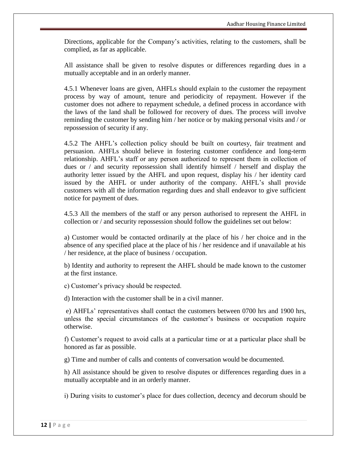Directions, applicable for the Company's activities, relating to the customers, shall be complied, as far as applicable.

All assistance shall be given to resolve disputes or differences regarding dues in a mutually acceptable and in an orderly manner.

4.5.1 Whenever loans are given, AHFLs should explain to the customer the repayment process by way of amount, tenure and periodicity of repayment. However if the customer does not adhere to repayment schedule, a defined process in accordance with the laws of the land shall be followed for recovery of dues. The process will involve reminding the customer by sending him / her notice or by making personal visits and / or repossession of security if any.

4.5.2 The AHFL's collection policy should be built on courtesy, fair treatment and persuasion. AHFLs should believe in fostering customer confidence and long-term relationship. AHFL's staff or any person authorized to represent them in collection of dues or / and security repossession shall identify himself / herself and display the authority letter issued by the AHFL and upon request, display his / her identity card issued by the AHFL or under authority of the company. AHFL's shall provide customers with all the information regarding dues and shall endeavor to give sufficient notice for payment of dues.

4.5.3 All the members of the staff or any person authorised to represent the AHFL in collection or / and security repossession should follow the guidelines set out below:

a) Customer would be contacted ordinarily at the place of his / her choice and in the absence of any specified place at the place of his / her residence and if unavailable at his / her residence, at the place of business / occupation.

b) Identity and authority to represent the AHFL should be made known to the customer at the first instance.

c) Customer's privacy should be respected.

d) Interaction with the customer shall be in a civil manner.

e) AHFLs' representatives shall contact the customers between 0700 hrs and 1900 hrs, unless the special circumstances of the customer's business or occupation require otherwise.

f) Customer's request to avoid calls at a particular time or at a particular place shall be honored as far as possible.

g) Time and number of calls and contents of conversation would be documented.

h) All assistance should be given to resolve disputes or differences regarding dues in a mutually acceptable and in an orderly manner.

i) During visits to customer's place for dues collection, decency and decorum should be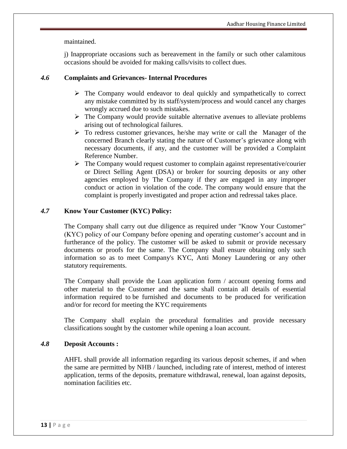maintained.

j) Inappropriate occasions such as bereavement in the family or such other calamitous occasions should be avoided for making calls/visits to collect dues.

# *4.6* **Complaints and Grievances- Internal Procedures**

- $\triangleright$  The Company would endeavor to deal quickly and sympathetically to correct any mistake committed by its staff/system/process and would cancel any charges wrongly accrued due to such mistakes.
- $\triangleright$  The Company would provide suitable alternative avenues to alleviate problems arising out of technological failures.
- $\triangleright$  To redress customer grievances, he/she may write or call the Manager of the concerned Branch clearly stating the nature of Customer's grievance along with necessary documents, if any, and the customer will be provided a Complaint Reference Number.
- $\triangleright$  The Company would request customer to complain against representative/courier or Direct Selling Agent (DSA) or broker for sourcing deposits or any other agencies employed by The Company if they are engaged in any improper conduct or action in violation of the code. The company would ensure that the complaint is properly investigated and proper action and redressal takes place.

# *4.7* **Know Your Customer (KYC) Policy:**

The Company shall carry out due diligence as required under "Know Your Customer" (KYC) policy of our Company before opening and operating customer's account and in furtherance of the policy. The customer will be asked to submit or provide necessary documents or proofs for the same. The Company shall ensure obtaining only such information so as to meet Company's KYC, Anti Money Laundering or any other statutory requirements.

The Company shall provide the Loan application form / account opening forms and other material to the Customer and the same shall contain all details of essential information required to be furnished and documents to be produced for verification and/or for record for meeting the KYC requirements

The Company shall explain the procedural formalities and provide necessary classifications sought by the customer while opening a loan account.

### *4.8* **Deposit Accounts :**

AHFL shall provide all information regarding its various deposit schemes, if and when the same are permitted by NHB / launched, including rate of interest, method of interest application, terms of the deposits, premature withdrawal, renewal, loan against deposits, nomination facilities etc.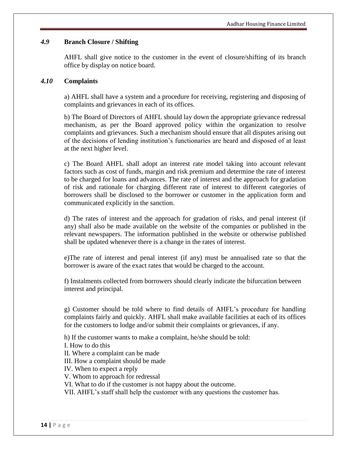#### *4.9* **Branch Closure / Shifting**

AHFL shall give notice to the customer in the event of closure/shifting of its branch office by display on notice board.

#### *4.10* **Complaints**

a) AHFL shall have a system and a procedure for receiving, registering and disposing of complaints and grievances in each of its offices.

b) The Board of Directors of AHFL should lay down the appropriate grievance redressal mechanism, as per the Board approved policy within the organization to resolve complaints and grievances. Such a mechanism should ensure that all disputes arising out of the decisions of lending institution's functionaries are heard and disposed of at least at the next higher level.

c) The Board AHFL shall adopt an interest rate model taking into account relevant factors such as cost of funds, margin and risk premium and determine the rate of interest to be charged for loans and advances. The rate of interest and the approach for gradation of risk and rationale for charging different rate of interest to different categories of borrowers shall be disclosed to the borrower or customer in the application form and communicated explicitly in the sanction.

d) The rates of interest and the approach for gradation of risks, and penal interest (if any) shall also be made available on the website of the companies or published in the relevant newspapers. The information published in the website or otherwise published shall be updated whenever there is a change in the rates of interest.

e)The rate of interest and penal interest (if any) must be annualised rate so that the borrower is aware of the exact rates that would be charged to the account.

f) Instalments collected from borrowers should clearly indicate the bifurcation between interest and principal.

g) Customer should be told where to find details of AHFL's procedure for handling complaints fairly and quickly. AHFL shall make available facilities at each of its offices for the customers to lodge and/or submit their complaints or grievances, if any.

h) If the customer wants to make a complaint, he/she should be told:

I. How to do this

II. Where a complaint can be made

III. How a complaint should be made

IV. When to expect a reply

V. Whom to approach for redressal

VI. What to do if the customer is not happy about the outcome.

VII. AHFL's staff shall help the customer with any questions the customer has.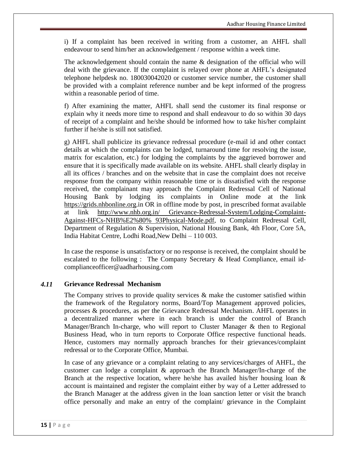i) If a complaint has been received in writing from a customer, an AHFL shall endeavour to send him/her an acknowledgement / response within a week time.

The acknowledgement should contain the name & designation of the official who will deal with the grievance. If the complaint is relayed over phone at AHFL's designated telephone helpdesk no. 180030042020 or customer service number, the customer shall be provided with a complaint reference number and be kept informed of the progress within a reasonable period of time.

f) After examining the matter, AHFL shall send the customer its final response or explain why it needs more time to respond and shall endeavour to do so within 30 days of receipt of a complaint and he/she should be informed how to take his/her complaint further if he/she is still not satisfied.

g) AHFL shall publicize its grievance redressal procedure (e-mail id and other contact details at which the complaints can be lodged, turnaround time for resolving the issue, matrix for escalation, etc.) for lodging the complaints by the aggrieved borrower and ensure that it is specifically made available on its website. AHFL shall clearly display in all its offices / branches and on the website that in case the complaint does not receive response from the company within reasonable time or is dissatisfied with the response received, the complainant may approach the Complaint Redressal Cell of National Housing Bank by lodging its complaints in Online mode at the link https://grids.nhbonline.org.in OR in offline mode by post, in prescribed format available at link http://www.nhb.org.in/ Grievance-Redressal-System/Lodging-Complaint-Against-HFCs-NHB%E2%80% 93Physical-Mode.pdf, to Complaint Redressal Cell, Department of Regulation & Supervision, National Housing Bank, 4th Floor, Core 5A, India Habitat Centre, Lodhi Road,New Delhi – 110 003.

In case the response is unsatisfactory or no response is received, the complaint should be escalated to the following : The Company Secretary & Head Compliance, email idcomplianceofficer@aadharhousing.com

#### *4.11* **Grievance Redressal Mechanism**

The Company strives to provide quality services  $\&$  make the customer satisfied within the framework of the Regulatory norms, Board/Top Management approved policies, processes & procedures, as per the Grievance Redressal Mechanism. AHFL operates in a decentralized manner where in each branch is under the control of Branch Manager/Branch In-charge, who will report to Cluster Manager & then to Regional Business Head, who in turn reports to Corporate Office respective functional heads. Hence, customers may normally approach branches for their grievances/complaint redressal or to the Corporate Office, Mumbai.

In case of any grievance or a complaint relating to any services/charges of AHFL, the customer can lodge a complaint & approach the Branch Manager/In-charge of the Branch at the respective location, where he/she has availed his/her housing loan  $\&$ account is maintained and register the complaint either by way of a Letter addressed to the Branch Manager at the address given in the loan sanction letter or visit the branch office personally and make an entry of the complaint/ grievance in the Complaint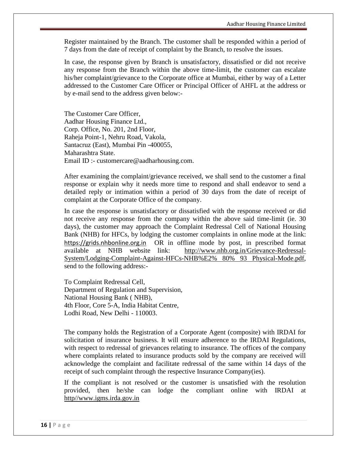Register maintained by the Branch. The customer shall be responded within a period of 7 days from the date of receipt of complaint by the Branch, to resolve the issues.

In case, the response given by Branch is unsatisfactory, dissatisfied or did not receive any response from the Branch within the above time-limit, the customer can escalate his/her complaint/grievance to the Corporate office at Mumbai, either by way of a Letter addressed to the Customer Care Officer or Principal Officer of AHFL at the address or by e-mail send to the address given below:-

The Customer Care Officer, Aadhar Housing Finance Ltd., Corp. Office, No. 201, 2nd Floor, Raheja Point-1, Nehru Road, Vakola, Santacruz (East), Mumbai Pin -400055, Maharashtra State. Email ID :- customercare@aadharhousing.com.

After examining the complaint/grievance received, we shall send to the customer a final response or explain why it needs more time to respond and shall endeavor to send a detailed reply or intimation within a period of 30 days from the date of receipt of complaint at the Corporate Office of the company.

In case the response is unsatisfactory or dissatisfied with the response received or did not receive any response from the company within the above said time-limit (ie. 30 days), the customer may approach the Complaint Redressal Cell of National Housing Bank (NHB) for HFCs, by lodging the customer complaints in online mode at the link: [https://grids.nhbonline.org.in](https://grids.nhbonline.org.in/) OR in offline mode by post, in prescribed format available at NHB website link: [http://www.nhb.org.in](http://www.nhb.org.i/)/Grievance-Redressal-System/Lodging-Complaint-Against-HFCs-NHB%E2% 80% 93 Physical-Mode.pdf, send to the following address:-

To Complaint Redressal Cell, Department of Regulation and Supervision, National Housing Bank ( NHB), 4th Floor, Core 5-A, India Habitat Centre, Lodhi Road, New Delhi - 110003.

The company holds the Registration of a Corporate Agent (composite) with IRDAI for solicitation of insurance business. It will ensure adherence to the IRDAI Regulations, with respect to redressal of grievances relating to insurance. The offices of the company where complaints related to insurance products sold by the company are received will acknowledge the complaint and facilitate redressal of the same within 14 days of the receipt of such complaint through the respective Insurance Company(ies).

If the compliant is not resolved or the customer is unsatisfied with the resolution provided, then he/she can lodge the compliant online with IRDAI at http//www.igms.irda.gov.in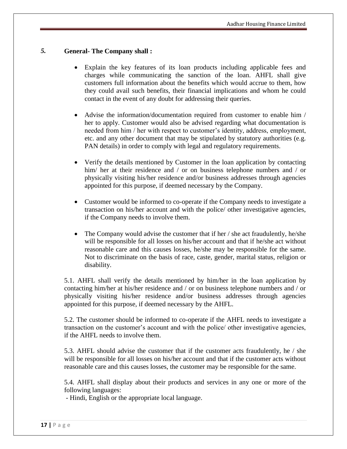# *5.* **General- The Company shall :**

- Explain the key features of its loan products including applicable fees and charges while communicating the sanction of the loan. AHFL shall give customers full information about the benefits which would accrue to them, how they could avail such benefits, their financial implications and whom he could contact in the event of any doubt for addressing their queries.
- Advise the information/documentation required from customer to enable him / her to apply. Customer would also be advised regarding what documentation is needed from him / her with respect to customer's identity, address, employment, etc. and any other document that may be stipulated by statutory authorities (e.g. PAN details) in order to comply with legal and regulatory requirements.
- Verify the details mentioned by Customer in the loan application by contacting him/ her at their residence and / or on business telephone numbers and / or physically visiting his/her residence and/or business addresses through agencies appointed for this purpose, if deemed necessary by the Company.
- Customer would be informed to co-operate if the Company needs to investigate a transaction on his/her account and with the police/ other investigative agencies, if the Company needs to involve them.
- The Company would advise the customer that if her / she act fraudulently, he/she will be responsible for all losses on his/her account and that if he/she act without reasonable care and this causes losses, he/she may be responsible for the same. Not to discriminate on the basis of race, caste, gender, marital status, religion or disability.

5.1. AHFL shall verify the details mentioned by him/her in the loan application by contacting him/her at his/her residence and / or on business telephone numbers and / or physically visiting his/her residence and/or business addresses through agencies appointed for this purpose, if deemed necessary by the AHFL.

5.2. The customer should be informed to co-operate if the AHFL needs to investigate a transaction on the customer's account and with the police/ other investigative agencies, if the AHFL needs to involve them.

5.3. AHFL should advise the customer that if the customer acts fraudulently, he / she will be responsible for all losses on his/her account and that if the customer acts without reasonable care and this causes losses, the customer may be responsible for the same.

5.4. AHFL shall display about their products and services in any one or more of the following languages:

- Hindi, English or the appropriate local language.